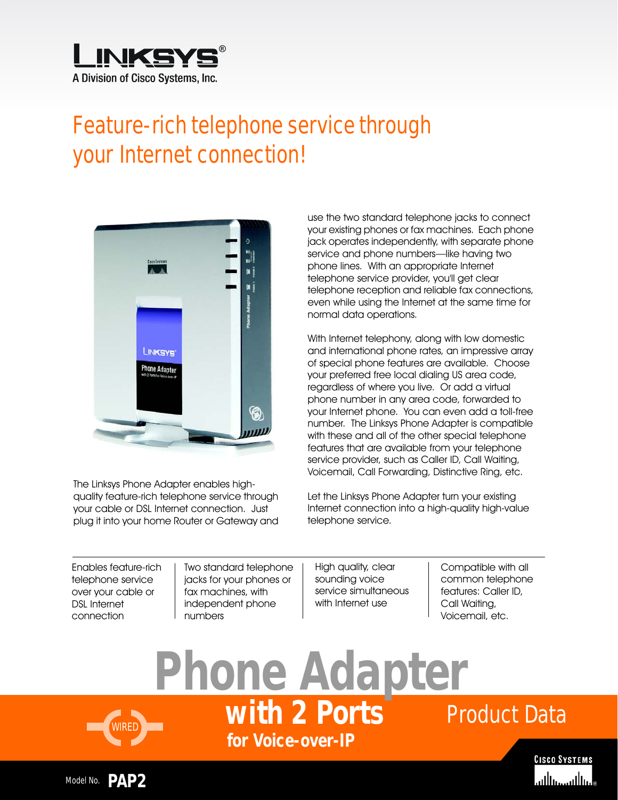

## Feature-rich telephone service through your Internet connection!



The Linksys Phone Adapter enables highquality feature-rich telephone service through your cable or DSL Internet connection. Just plug it into your home Router or Gateway and use the two standard telephone jacks to connect your existing phones or fax machines. Each phone jack operates independently, with separate phone service and phone numbers—like having two phone lines. With an appropriate Internet telephone service provider, you'll get clear telephone reception and reliable fax connections, even while using the Internet at the same time for normal data operations.

With Internet telephony, along with low domestic and international phone rates, an impressive array of special phone features are available. Choose your preferred free local dialing US area code, regardless of where you live. Or add a virtual phone number in any area code, forwarded to your Internet phone. You can even add a toll-free number. The Linksys Phone Adapter is compatible with these and all of the other special telephone features that are available from your telephone service provider, such as Caller ID, Call Waiting, Voicemail, Call Forwarding, Distinctive Ring, etc.

Let the Linksys Phone Adapter turn your existing Internet connection into a high-quality high-value telephone service.

Enables feature-rich telephone service over your cable or DSL Internet connection

Two standard telephone jacks for your phones or fax machines, with independent phone numbers

High quality, clear sounding voice service simultaneous with Internet use

Compatible with all common telephone features: Caller ID, Call Waiting, Voicemail, etc.

Product Data **for Voice-over-IP Phone Adapter with 2 Ports**





WIRED